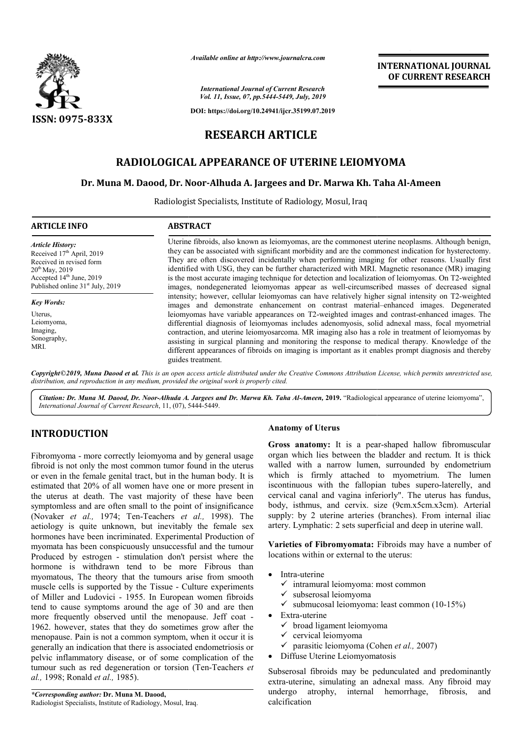

*Available online at http://www.journalcra.com*

## **INTERNATIONAL JOURNAL OF CURRENT RESEARCH**

# **RESEARCH ARTICLE**

## **RADIOLOGICAL APPEARANCE OF UTERINE LEIOMYOMA**

## **Dr. Muna M. Daood, Dr. Noor Noor-Alhuda A. Jargees and Dr. Marwa Kh. Taha Kh. Al-Ameen**

|                                                                                                                                                                                                                                                                                                                                                                                                                                                                                                                                                                                                                                                                                                                                                                                                                                                                                                                                                                                                                                                                                                                                                                                                                                                                                                                                                                                                                                                                | атишные опине игнир.//www.journuicru.com                                                                                                                                                                                                                                                                                                                                                                                                                                                                                                                                                                                                                                                                                                                                                                                                                                                                                                                                                                                                                                                                                                                                                                                                                                                                                                                   |                                                                                                                                                                                                                                                                                                                                                                                                                                                                                                                                                                                                                                                                                                                                                                                                                                                                                                                                                                                                                                                                                                                             | <b>INTERNATIONAL JOURNAL</b><br>OF CURRENT RESEARCH |
|----------------------------------------------------------------------------------------------------------------------------------------------------------------------------------------------------------------------------------------------------------------------------------------------------------------------------------------------------------------------------------------------------------------------------------------------------------------------------------------------------------------------------------------------------------------------------------------------------------------------------------------------------------------------------------------------------------------------------------------------------------------------------------------------------------------------------------------------------------------------------------------------------------------------------------------------------------------------------------------------------------------------------------------------------------------------------------------------------------------------------------------------------------------------------------------------------------------------------------------------------------------------------------------------------------------------------------------------------------------------------------------------------------------------------------------------------------------|------------------------------------------------------------------------------------------------------------------------------------------------------------------------------------------------------------------------------------------------------------------------------------------------------------------------------------------------------------------------------------------------------------------------------------------------------------------------------------------------------------------------------------------------------------------------------------------------------------------------------------------------------------------------------------------------------------------------------------------------------------------------------------------------------------------------------------------------------------------------------------------------------------------------------------------------------------------------------------------------------------------------------------------------------------------------------------------------------------------------------------------------------------------------------------------------------------------------------------------------------------------------------------------------------------------------------------------------------------|-----------------------------------------------------------------------------------------------------------------------------------------------------------------------------------------------------------------------------------------------------------------------------------------------------------------------------------------------------------------------------------------------------------------------------------------------------------------------------------------------------------------------------------------------------------------------------------------------------------------------------------------------------------------------------------------------------------------------------------------------------------------------------------------------------------------------------------------------------------------------------------------------------------------------------------------------------------------------------------------------------------------------------------------------------------------------------------------------------------------------------|-----------------------------------------------------|
|                                                                                                                                                                                                                                                                                                                                                                                                                                                                                                                                                                                                                                                                                                                                                                                                                                                                                                                                                                                                                                                                                                                                                                                                                                                                                                                                                                                                                                                                |                                                                                                                                                                                                                                                                                                                                                                                                                                                                                                                                                                                                                                                                                                                                                                                                                                                                                                                                                                                                                                                                                                                                                                                                                                                                                                                                                            | <b>International Journal of Current Research</b><br>Vol. 11, Issue, 07, pp.5444-5449, July, 2019                                                                                                                                                                                                                                                                                                                                                                                                                                                                                                                                                                                                                                                                                                                                                                                                                                                                                                                                                                                                                            |                                                     |
| <b>ISSN: 0975-833X</b>                                                                                                                                                                                                                                                                                                                                                                                                                                                                                                                                                                                                                                                                                                                                                                                                                                                                                                                                                                                                                                                                                                                                                                                                                                                                                                                                                                                                                                         |                                                                                                                                                                                                                                                                                                                                                                                                                                                                                                                                                                                                                                                                                                                                                                                                                                                                                                                                                                                                                                                                                                                                                                                                                                                                                                                                                            | DOI: https://doi.org/10.24941/ijcr.35199.07.2019                                                                                                                                                                                                                                                                                                                                                                                                                                                                                                                                                                                                                                                                                                                                                                                                                                                                                                                                                                                                                                                                            |                                                     |
|                                                                                                                                                                                                                                                                                                                                                                                                                                                                                                                                                                                                                                                                                                                                                                                                                                                                                                                                                                                                                                                                                                                                                                                                                                                                                                                                                                                                                                                                | <b>RESEARCH ARTICLE</b>                                                                                                                                                                                                                                                                                                                                                                                                                                                                                                                                                                                                                                                                                                                                                                                                                                                                                                                                                                                                                                                                                                                                                                                                                                                                                                                                    |                                                                                                                                                                                                                                                                                                                                                                                                                                                                                                                                                                                                                                                                                                                                                                                                                                                                                                                                                                                                                                                                                                                             |                                                     |
|                                                                                                                                                                                                                                                                                                                                                                                                                                                                                                                                                                                                                                                                                                                                                                                                                                                                                                                                                                                                                                                                                                                                                                                                                                                                                                                                                                                                                                                                |                                                                                                                                                                                                                                                                                                                                                                                                                                                                                                                                                                                                                                                                                                                                                                                                                                                                                                                                                                                                                                                                                                                                                                                                                                                                                                                                                            |                                                                                                                                                                                                                                                                                                                                                                                                                                                                                                                                                                                                                                                                                                                                                                                                                                                                                                                                                                                                                                                                                                                             |                                                     |
|                                                                                                                                                                                                                                                                                                                                                                                                                                                                                                                                                                                                                                                                                                                                                                                                                                                                                                                                                                                                                                                                                                                                                                                                                                                                                                                                                                                                                                                                |                                                                                                                                                                                                                                                                                                                                                                                                                                                                                                                                                                                                                                                                                                                                                                                                                                                                                                                                                                                                                                                                                                                                                                                                                                                                                                                                                            | RADIOLOGICAL APPEARANCE OF UTERINE LEIOMYOMA                                                                                                                                                                                                                                                                                                                                                                                                                                                                                                                                                                                                                                                                                                                                                                                                                                                                                                                                                                                                                                                                                |                                                     |
|                                                                                                                                                                                                                                                                                                                                                                                                                                                                                                                                                                                                                                                                                                                                                                                                                                                                                                                                                                                                                                                                                                                                                                                                                                                                                                                                                                                                                                                                |                                                                                                                                                                                                                                                                                                                                                                                                                                                                                                                                                                                                                                                                                                                                                                                                                                                                                                                                                                                                                                                                                                                                                                                                                                                                                                                                                            | Dr. Muna M. Daood, Dr. Noor-Alhuda A. Jargees and Dr. Marwa Kh. Taha Al-Ameen                                                                                                                                                                                                                                                                                                                                                                                                                                                                                                                                                                                                                                                                                                                                                                                                                                                                                                                                                                                                                                               |                                                     |
|                                                                                                                                                                                                                                                                                                                                                                                                                                                                                                                                                                                                                                                                                                                                                                                                                                                                                                                                                                                                                                                                                                                                                                                                                                                                                                                                                                                                                                                                | Radiologist Specialists, Institute of Radiology, Mosul, Iraq                                                                                                                                                                                                                                                                                                                                                                                                                                                                                                                                                                                                                                                                                                                                                                                                                                                                                                                                                                                                                                                                                                                                                                                                                                                                                               |                                                                                                                                                                                                                                                                                                                                                                                                                                                                                                                                                                                                                                                                                                                                                                                                                                                                                                                                                                                                                                                                                                                             |                                                     |
| <b>ARTICLE INFO</b>                                                                                                                                                                                                                                                                                                                                                                                                                                                                                                                                                                                                                                                                                                                                                                                                                                                                                                                                                                                                                                                                                                                                                                                                                                                                                                                                                                                                                                            | <b>ABSTRACT</b>                                                                                                                                                                                                                                                                                                                                                                                                                                                                                                                                                                                                                                                                                                                                                                                                                                                                                                                                                                                                                                                                                                                                                                                                                                                                                                                                            |                                                                                                                                                                                                                                                                                                                                                                                                                                                                                                                                                                                                                                                                                                                                                                                                                                                                                                                                                                                                                                                                                                                             |                                                     |
| <b>Article History:</b><br>Received 17 <sup>th</sup> April, 2019<br>Received in revised form<br>20 <sup>th</sup> May, 2019<br>Accepted 14th June, 2019<br>Published online 31 <sup>st</sup> July, 2019                                                                                                                                                                                                                                                                                                                                                                                                                                                                                                                                                                                                                                                                                                                                                                                                                                                                                                                                                                                                                                                                                                                                                                                                                                                         | Uterine fibroids, also known as leiomyomas, are the commonest uterine neoplasms. Although benign,<br>they can be associated with significant morbidity and are the commonest indication for hysterectomy.<br>They are often discovered incidentally when performing imaging for other reasons. Usually first<br>identified with USG, they can be further characterized with MRI. Magnetic resonance (MR) imaging<br>is the most accurate imaging technique for detection and localization of leiomyomas. On T2-weighted<br>images, nondegenerated leiomyomas appear as well-circumscribed masses of decreased signal<br>intensity; however, cellular leiomyomas can have relatively higher signal intensity on T2-weighted<br>images and demonstrate enhancement on contrast material-enhanced images. Degenerated<br>leiomyomas have variable appearances on T2-weighted images and contrast-enhanced images. The<br>differential diagnosis of leiomyomas includes adenomyosis, solid adnexal mass, focal myometrial<br>contraction, and uterine leiomyosarcoma. MR imaging also has a role in treatment of leiomyomas by<br>assisting in surgical planning and monitoring the response to medical therapy. Knowledge of the<br>different appearances of fibroids on imaging is important as it enables prompt diagnosis and thereby<br>guides treatment. |                                                                                                                                                                                                                                                                                                                                                                                                                                                                                                                                                                                                                                                                                                                                                                                                                                                                                                                                                                                                                                                                                                                             |                                                     |
| <b>Key Words:</b><br>Uterus,<br>Leiomyoma,<br>Imaging,<br>Sonography,<br>MRI.                                                                                                                                                                                                                                                                                                                                                                                                                                                                                                                                                                                                                                                                                                                                                                                                                                                                                                                                                                                                                                                                                                                                                                                                                                                                                                                                                                                  |                                                                                                                                                                                                                                                                                                                                                                                                                                                                                                                                                                                                                                                                                                                                                                                                                                                                                                                                                                                                                                                                                                                                                                                                                                                                                                                                                            |                                                                                                                                                                                                                                                                                                                                                                                                                                                                                                                                                                                                                                                                                                                                                                                                                                                                                                                                                                                                                                                                                                                             |                                                     |
| distribution, and reproduction in any medium, provided the original work is properly cited.<br>International Journal of Current Research, 11, (07), 5444-5449.                                                                                                                                                                                                                                                                                                                                                                                                                                                                                                                                                                                                                                                                                                                                                                                                                                                                                                                                                                                                                                                                                                                                                                                                                                                                                                 |                                                                                                                                                                                                                                                                                                                                                                                                                                                                                                                                                                                                                                                                                                                                                                                                                                                                                                                                                                                                                                                                                                                                                                                                                                                                                                                                                            | Copyright ©2019, Muna Daood et al. This is an open access article distributed under the Creative Commons Attribution License, which permits unrestricted use,<br>Citation: Dr. Muna M. Daood, Dr. Noor-Alhuda A. Jargees and Dr. Marwa Kh. Taha Al-Ameen, 2019. "Radiological appearance of uterine leiomyoma",                                                                                                                                                                                                                                                                                                                                                                                                                                                                                                                                                                                                                                                                                                                                                                                                             |                                                     |
| <b>INTRODUCTION</b>                                                                                                                                                                                                                                                                                                                                                                                                                                                                                                                                                                                                                                                                                                                                                                                                                                                                                                                                                                                                                                                                                                                                                                                                                                                                                                                                                                                                                                            |                                                                                                                                                                                                                                                                                                                                                                                                                                                                                                                                                                                                                                                                                                                                                                                                                                                                                                                                                                                                                                                                                                                                                                                                                                                                                                                                                            | <b>Anatomy of Uterus</b>                                                                                                                                                                                                                                                                                                                                                                                                                                                                                                                                                                                                                                                                                                                                                                                                                                                                                                                                                                                                                                                                                                    |                                                     |
| Fibromyoma - more correctly leiomyoma and by general usage<br>fibroid is not only the most common tumor found in the uterus<br>or even in the female genital tract, but in the human body. It is<br>estimated that 20% of all women have one or more present in<br>the uterus at death. The vast majority of these have been<br>symptomless and are often small to the point of insignificance<br>(Novaker et al., 1974; Ten-Teachers et al., 1998). The<br>aetiology is quite unknown, but inevitably the female sex<br>hormones have been incriminated. Experimental Production of<br>myomata has been conspicuously unsuccessful and the tumour<br>Produced by estrogen - stimulation don't persist where the<br>hormone is withdrawn tend to be more Fibrous than<br>myomatous, The theory that the tumours arise from smooth<br>muscle cells is supported by the Tissue - Culture experiments<br>of Miller and Ludovici - 1955. In European women fibroids<br>tend to cause symptoms around the age of 30 and are then<br>more frequently observed until the menopause. Jeff coat -<br>1962. however, states that they do sometimes grow after the<br>menopause. Pain is not a common symptom, when it occur it is<br>generally an indication that there is associated endometriosis or<br>pelvic inflammatory disease, or of some complication of the<br>tumour such as red degeneration or torsion (Ten-Teachers et<br>al., 1998; Ronald et al., 1985). |                                                                                                                                                                                                                                                                                                                                                                                                                                                                                                                                                                                                                                                                                                                                                                                                                                                                                                                                                                                                                                                                                                                                                                                                                                                                                                                                                            | Gross anatomy: It is a pear-shaped hallow fibromuscular<br>organ which lies between the bladder and rectum. It is thick<br>walled with a narrow lumen, surrounded by endometrium<br>which is firmly attached to myometrium. The lumen<br>iscontinuous with the fallopian tubes supero-laterelly, and<br>cervical canal and vagina inferiorly". The uterus has fundus,<br>body, isthmus, and cervix. size (9cm.x5cm.x3cm). Arterial<br>supply: by 2 uterine arteries (branches). From internal iliac<br>artery. Lymphatic: 2 sets superficial and deep in uterine wall.<br>Varieties of Fibromyomata: Fibroids may have a number of<br>locations within or external to the uterus:<br>Intra-uterine<br>$\bullet$<br>$\checkmark$ intramural leiomyoma: most common<br>$\checkmark$ subserosal leiomyoma<br>$\checkmark$ submucosal leiomyoma: least common (10-15%)<br>• Extra-uterine<br>$\checkmark$ broad ligament leiomyoma<br>$\checkmark$ cervical leiomyoma<br>$\checkmark$ parasitic leiomyoma (Cohen et al., 2007)<br>• Diffuse Uterine Leiomyomatosis<br>Subserosal fibroids may be pedunculated and predominantly |                                                     |
| *Corresponding author: Dr. Muna M. Daood.                                                                                                                                                                                                                                                                                                                                                                                                                                                                                                                                                                                                                                                                                                                                                                                                                                                                                                                                                                                                                                                                                                                                                                                                                                                                                                                                                                                                                      |                                                                                                                                                                                                                                                                                                                                                                                                                                                                                                                                                                                                                                                                                                                                                                                                                                                                                                                                                                                                                                                                                                                                                                                                                                                                                                                                                            | extra-uterine, simulating an adnexal mass. Any fibroid may<br>atrophy, internal hemorrhage,<br>undergo                                                                                                                                                                                                                                                                                                                                                                                                                                                                                                                                                                                                                                                                                                                                                                                                                                                                                                                                                                                                                      | fibrosis,<br>and                                    |

# **INTRODUCTION**

- Intra-uterine
	- $\checkmark$  intramural leiomyoma: most common
	- $\checkmark$  subserosal leiomyoma
- Submucosal leiomyoma: most common<br>
v intranural leiomyoma: most common<br>
v subserosal leiomyoma<br>
v submucosal leiomyoma: least common (10-15%)
- Extra-uterine
	- $\checkmark$  broad ligament leiomyoma
	- $\checkmark$  cervical leiomyoma
	- parasitic leiomyoma (Cohen Cohen *et al.,* 2007)
- Diffuse Uterine Leiomyomatosis

Subserosal fibroids may be pedunculated and predominantly extra-uterine, simulating an adnexal mass. Any fibroid may undergo atrophy, internal hemorrhage, fibrosis, and calcification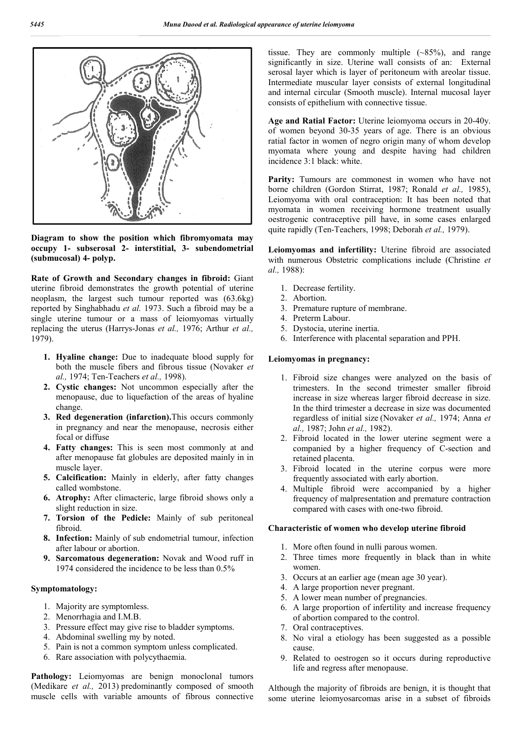

**Diagram to show the position which fibromyomata may occupy 1- subserosal 2- interstitial, 3- subendometrial (submucosal) 4- polyp.**

**Rate of Growth and Secondary changes in fibroid:** Giant uterine fibroid demonstrates the growth potential of uterine neoplasm, the largest such tumour reported was (63.6kg) reported by Singhabhadu *et al.* 1973. Such a fibroid may be a single uterine tumour or a mass of leiomyomas virtually replacing the uterus (Harrys-Jonas *et al.,* 1976; Arthur *et al.,*  1979).

- **1. Hyaline change:** Due to inadequate blood supply for both the muscle fibers and fibrous tissue (Novaker *et al.,* 1974; Ten-Teachers *et al.,* 1998).
- **2. Cystic changes:** Not uncommon especially after the menopause, due to liquefaction of the areas of hyaline change.
- **3. Red degeneration (infarction).**This occurs commonly in pregnancy and near the menopause, necrosis either focal or diffuse
- **4. Fatty changes:** This is seen most commonly at and after menopause fat globules are deposited mainly in in muscle layer.
- **5. Calcification:** Mainly in elderly, after fatty changes called wombstone.
- **6. Atrophy:** After climacteric, large fibroid shows only a slight reduction in size.
- **7. Torsion of the Pedicle:** Mainly of sub peritoneal fibroid.
- **8. Infection:** Mainly of sub endometrial tumour, infection after labour or abortion.
- **9. Sarcomatous degeneration:** Novak and Wood ruff in 1974 considered the incidence to be less than 0.5%

## **Symptomatology:**

- 1. Majority are symptomless.
- 2. Menorrhagia and I.M.B.
- 3. Pressure effect may give rise to bladder symptoms.
- 4. Abdominal swelling my by noted.
- 5. Pain is not a common symptom unless complicated.
- 6. Rare association with polycythaemia.

Pathology: Leiomyomas are benign monoclonal tumors (Medikare *et al.,* 2013) predominantly composed of smooth muscle cells with variable amounts of fibrous connective

tissue. They are commonly multiple  $({\sim}85\%)$ , and range significantly in size. Uterine wall consists of an: External serosal layer which is layer of peritoneum with areolar tissue. Intermediate muscular layer consists of external longitudinal and internal circular (Smooth muscle). Internal mucosal layer consists of epithelium with connective tissue.

**Age and Ratial Factor:** Uterine leiomyoma occurs in 20-40y. of women beyond 30-35 years of age. There is an obvious ratial factor in women of negro origin many of whom develop myomata where young and despite having had children incidence 3:1 black: white.

Parity: Tumours are commonest in women who have not borne children (Gordon Stirrat, 1987; Ronald *et al.,* 1985), Leiomyoma with oral contraception: It has been noted that myomata in women receiving hormone treatment usually oestrogenic contraceptive pill have, in some cases enlarged quite rapidly (Ten-Teachers, 1998; Deborah *et al.,* 1979).

**Leiomyomas and infertility:** Uterine fibroid are associated with numerous Obstetric complications include (Christine *et al.,* 1988):

- 1. Decrease fertility.
- 2. Abortion.
- 3. Premature rupture of membrane.
- 4. Preterm Labour.
- 5. Dystocia, uterine inertia.
- 6. Interference with placental separation and PPH.

## **Leiomyomas in pregnancy:**

- 1. Fibroid size changes were analyzed on the basis of trimesters. In the second trimester smaller fibroid increase in size whereas larger fibroid decrease in size. In the third trimester a decrease in size was documented regardless of initial size (Novaker *et al.,* 1974; Anna *et al.,* 1987; John *et al.,* 1982).
- 2. Fibroid located in the lower uterine segment were a companied by a higher frequency of C-section and retained placenta.
- 3. Fibroid located in the uterine corpus were more frequently associated with early abortion.
- 4. Multiple fibroid were accompanied by a higher frequency of malpresentation and premature contraction compared with cases with one-two fibroid.

### **Characteristic of women who develop uterine fibroid**

- 1. More often found in nulli parous women.
- 2. Three times more frequently in black than in white women.
- 3. Occurs at an earlier age (mean age 30 year).
- 4. A large proportion never pregnant.
- 5. A lower mean number of pregnancies.
- 6. A large proportion of infertility and increase frequency of abortion compared to the control.
- 7. Oral contraceptives.
- 8. No viral a etiology has been suggested as a possible cause.
- 9. Related to oestrogen so it occurs during reproductive life and regress after menopause.

Although the majority of fibroids are benign, it is thought that some uterine leiomyosarcomas arise in a subset of fibroids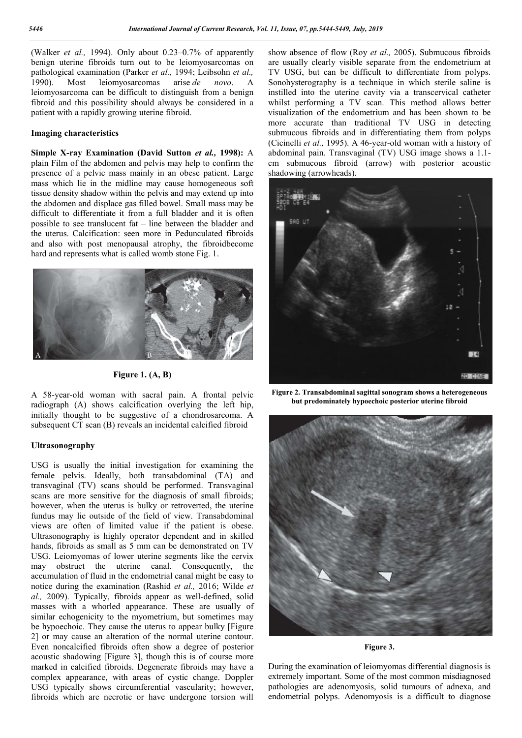(Walker *et al.,* 1994). Only about 0.23–0.7% of apparently benign uterine fibroids turn out to be leiomyosarcomas on pathological examination (Parker *et al.,* 1994; Leibsohn *et al.,*  1990). Most leiomyosarcomas arise *de novo*. A leiomyosarcoma can be difficult to distinguish from a benign fibroid and this possibility should always be considered in a patient with a rapidly growing uterine fibroid.

#### **Imaging characteristics**

## **Simple X-ray Examination (David Sutton** *et al.,* **1998):** A plain Film of the abdomen and pelvis may help to confirm the presence of a pelvic mass mainly in an obese patient. Large mass which lie in the midline may cause homogeneous soft tissue density shadow within the pelvis and may extend up into the abdomen and displace gas filled bowel. Small mass may be difficult to differentiate it from a full bladder and it is often possible to see translucent fat – line between the bladder and the uterus. Calcification: seen more in Pedunculated fibroids and also with post menopausal atrophy, the fibroidbecome hard and represents what is called womb stone Fig. 1.





A 58-year-old woman with sacral pain. A frontal pelvic radiograph (A) shows calcification overlying the left hip, initially thought to be suggestive of a chondrosarcoma. A subsequent CT scan (B) reveals an incidental calcified fibroid

## **Ultrasonography**

USG is usually the initial investigation for examining the female pelvis. Ideally, both transabdominal (TA) and transvaginal (TV) scans should be performed. Transvaginal scans are more sensitive for the diagnosis of small fibroids; however, when the uterus is bulky or retroverted, the uterine fundus may lie outside of the field of view. Transabdominal views are often of limited value if the patient is obese. Ultrasonography is highly operator dependent and in skilled hands, fibroids as small as 5 mm can be demonstrated on TV USG. Leiomyomas of lower uterine segments like the cervix may obstruct the uterine canal. Consequently, the accumulation of fluid in the endometrial canal might be easy to notice during the examination (Rashid *et al.,* 2016; Wilde *et al.,* 2009). Typically, fibroids appear as well-defined, solid masses with a whorled appearance. These are usually of similar echogenicity to the myometrium, but sometimes may be hypoechoic. They cause the uterus to appear bulky [Figure 2] or may cause an alteration of the normal uterine contour. Even noncalcified fibroids often show a degree of posterior acoustic shadowing [Figure 3], though this is of course more marked in calcified fibroids. Degenerate fibroids may have a complex appearance, with areas of cystic change. Doppler USG typically shows circumferential vascularity; however, fibroids which are necrotic or have undergone torsion will

show absence of flow (Roy *et al.,* 2005). Submucous fibroids are usually clearly visible separate from the endometrium at TV USG, but can be difficult to differentiate from polyps. Sonohysterography is a technique in which sterile saline is instilled into the uterine cavity via a transcervical catheter whilst performing a TV scan. This method allows better visualization of the endometrium and has been shown to be more accurate than traditional TV USG in detecting submucous fibroids and in differentiating them from polyps (Cicinelli *et al.,* 1995). A 46-year-old woman with a history of abdominal pain. Transvaginal (TV) USG image shows a 1.1 cm submucous fibroid (arrow) with posterior acoustic shadowing (arrowheads).



**Figure 2. Transabdominal sagittal sonogram shows a heterogeneous but predominately hypoechoic posterior uterine fibroid**



**Figure 3.**

During the examination of leiomyomas differential diagnosis is extremely important. Some of the most common misdiagnosed pathologies are adenomyosis, solid tumours of adnexa, and endometrial polyps. Adenomyosis is a difficult to diagnose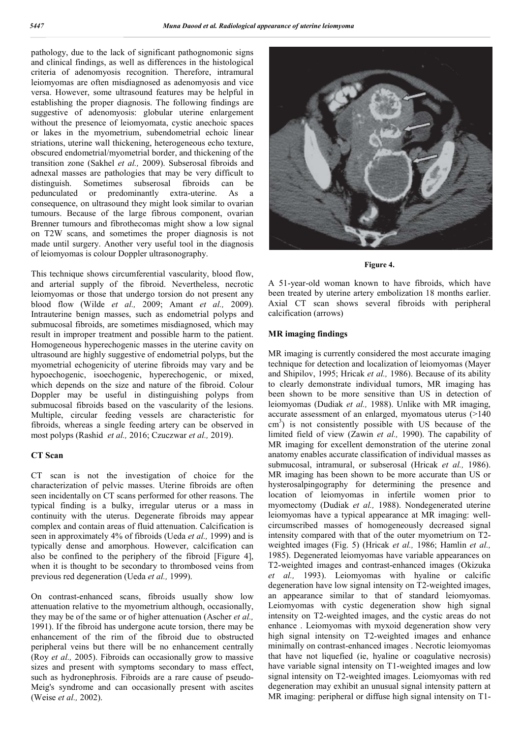pathology, due to the lack of significant pathognomonic signs and clinical findings, as well as differences in the histological criteria of adenomyosis recognition. Therefore, intramural leiomyomas are often misdiagnosed as adenomyosis and vice versa. However, some ultrasound features may be helpful in establishing the proper diagnosis. The following findings are suggestive of adenomyosis: globular uterine enlargement without the presence of leiomyomata, cystic anechoic spaces or lakes in the myometrium, subendometrial echoic linear striations, uterine wall thickening, heterogeneous echo texture, obscured endometrial/myometrial border, and thickening of the transition zone (Sakhel *et al.,* 2009). Subserosal fibroids and adnexal masses are pathologies that may be very difficult to distinguish. Sometimes subserosal fibroids can be pedunculated or predominantly extra-uterine. As a consequence, on ultrasound they might look similar to ovarian tumours. Because of the large fibrous component, ovarian Brenner tumours and fibrothecomas might show a low signal on T2W scans, and sometimes the proper diagnosis is not made until surgery. Another very useful tool in the diagnosis of leiomyomas is colour Doppler ultrasonography.

This technique shows circumferential vascularity, blood flow, and arterial supply of the fibroid. Nevertheless, necrotic leiomyomas or those that undergo torsion do not present any blood flow (Wilde *et al.,* 2009; Amant *et al.,* 2009). Intrauterine benign masses, such as endometrial polyps and submucosal fibroids, are sometimes misdiagnosed, which may result in improper treatment and possible harm to the patient. Homogeneous hyperechogenic masses in the uterine cavity on ultrasound are highly suggestive of endometrial polyps, but the myometrial echogenicity of uterine fibroids may vary and be hypoechogenic, isoechogenic, hyperechogenic, or mixed, which depends on the size and nature of the fibroid. Colour Doppler may be useful in distinguishing polyps from submucosal fibroids based on the vascularity of the lesions. Multiple, circular feeding vessels are characteristic for fibroids, whereas a single feeding artery can be observed in most polyps (Rashid *et al.,* 2016; Czuczwar *et al.,* 2019).

## **CT Scan**

CT scan is not the investigation of choice for the characterization of pelvic masses. Uterine fibroids are often seen incidentally on CT scans performed for other reasons. The typical finding is a bulky, irregular uterus or a mass in continuity with the uterus. Degenerate fibroids may appear complex and contain areas of fluid attenuation. Calcification is seen in approximately 4% of fibroids (Ueda *et al.,* 1999) and is typically dense and amorphous. However, calcification can also be confined to the periphery of the fibroid [Figure 4], when it is thought to be secondary to thrombosed veins from previous red degeneration (Ueda *et al.,* 1999).

On contrast-enhanced scans, fibroids usually show low attenuation relative to the myometrium although, occasionally, they may be of the same or of higher attenuation (Ascher *et al.,*  1991). If the fibroid has undergone acute torsion, there may be enhancement of the rim of the fibroid due to obstructed peripheral veins but there will be no enhancement centrally (Roy *et al.,* 2005). Fibroids can occasionally grow to massive sizes and present with symptoms secondary to mass effect, such as hydronephrosis. Fibroids are a rare cause of pseudo-Meig's syndrome and can occasionally present with ascites (Weise *et al.,* 2002).



**Figure 4.**

A 51-year-old woman known to have fibroids, which have been treated by uterine artery embolization 18 months earlier. Axial CT scan shows several fibroids with peripheral calcification (arrows)

#### **MR imaging findings**

MR imaging is currently considered the most accurate imaging technique for detection and localization of leiomyomas (Mayer and Shipilov, 1995; Hricak *et al.,* 1986). Because of its ability to clearly demonstrate individual tumors, MR imaging has been shown to be more sensitive than US in detection of leiomyomas (Dudiak *et al.,* 1988). Unlike with MR imaging, accurate assessment of an enlarged, myomatous uterus (>140 cm<sup>3</sup>) is not consistently possible with US because of the limited field of view (Zawin *et al.,* 1990). The capability of MR imaging for excellent demonstration of the uterine zonal anatomy enables accurate classification of individual masses as submucosal, intramural, or subserosal (Hricak *et al.,* 1986). MR imaging has been shown to be more accurate than US or hysterosalpingography for determining the presence and location of leiomyomas in infertile women prior to myomectomy (Dudiak *et al.,* 1988). Nondegenerated uterine leiomyomas have a typical appearance at MR imaging: wellcircumscribed masses of homogeneously decreased signal intensity compared with that of the outer myometrium on T2 weighted images (Fig. 5) (Hricak *et al.,* 1986; Hamlin *et al.,*  1985). Degenerated leiomyomas have variable appearances on T2-weighted images and contrast-enhanced images (Okizuka *et al.,* 1993). Leiomyomas with hyaline or calcific degeneration have low signal intensity on T2-weighted images, an appearance similar to that of standard leiomyomas. Leiomyomas with cystic degeneration show high signal intensity on T2-weighted images, and the cystic areas do not enhance . Leiomyomas with myxoid degeneration show very high signal intensity on T2-weighted images and enhance minimally on contrast-enhanced images . Necrotic leiomyomas that have not liquefied (ie, hyaline or coagulative necrosis) have variable signal intensity on T1-weighted images and low signal intensity on T2-weighted images. Leiomyomas with red degeneration may exhibit an unusual signal intensity pattern at MR imaging: peripheral or diffuse high signal intensity on T1-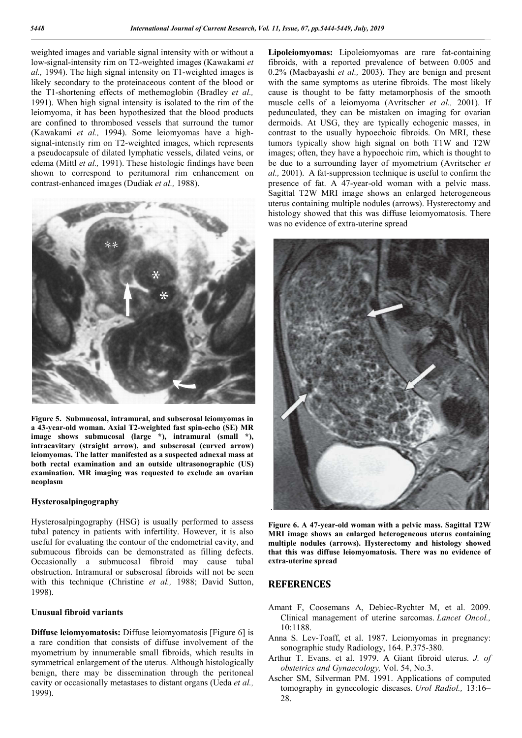weighted images and variable signal intensity with or without a low-signal-intensity rim on T2-weighted images (Kawakami *et al.,* 1994). The high signal intensity on T1-weighted images is likely secondary to the proteinaceous content of the blood or the T1-shortening effects of methemoglobin (Bradley *et al.,*  1991). When high signal intensity is isolated to the rim of the leiomyoma, it has been hypothesized that the blood products are confined to thrombosed vessels that surround the tumor (Kawakami *et al.,* 1994). Some leiomyomas have a highsignal-intensity rim on T2-weighted images, which represents a pseudocapsule of dilated lymphatic vessels, dilated veins, or edema (Mittl *et al.,* 1991). These histologic findings have been shown to correspond to peritumoral rim enhancement on contrast-enhanced images (Dudiak *et al.,* 1988).



**Figure 5. Submucosal, intramural, and subserosal leiomyomas in a 43-year-old woman. Axial T2-weighted fast spin-echo (SE) MR**  image shows submucosal (large \*), intramural (small \*), **intracavitary (straight arrow), and subserosal (curved arrow) leiomyomas. The latter manifested as a suspected adnexal mass at both rectal examination and an outside ultrasonographic (US) examination. MR imaging was requested to exclude an ovarian neoplasm**

#### **Hysterosalpingography**

Hysterosalpingography (HSG) is usually performed to assess tubal patency in patients with infertility. However, it is also useful for evaluating the contour of the endometrial cavity, and submucous fibroids can be demonstrated as filling defects. Occasionally a submucosal fibroid may cause tubal obstruction. Intramural or subserosal fibroids will not be seen with this technique (Christine *et al.,* 1988; David Sutton, 1998).

## **Unusual fibroid variants**

**Diffuse leiomyomatosis:** Diffuse leiomyomatosis [Figure 6] is a rare condition that consists of diffuse involvement of the myometrium by innumerable small fibroids, which results in symmetrical enlargement of the uterus. Although histologically benign, there may be dissemination through the peritoneal cavity or occasionally metastases to distant organs (Ueda *et al.,*  1999).

**Lipoleiomyomas:** Lipoleiomyomas are rare fat-containing fibroids, with a reported prevalence of between 0.005 and 0.2% (Maebayashi *et al.,* 2003). They are benign and present with the same symptoms as uterine fibroids. The most likely cause is thought to be fatty metamorphosis of the smooth muscle cells of a leiomyoma (Avritscher *et al.,* 2001). If pedunculated, they can be mistaken on imaging for ovarian dermoids. At USG, they are typically echogenic masses, in contrast to the usually hypoechoic fibroids. On MRI, these tumors typically show high signal on both T1W and T2W images; often, they have a hypoechoic rim, which is thought to be due to a surrounding layer of myometrium (Avritscher *et al.,* 2001). A fat-suppression technique is useful to confirm the presence of fat. A 47-year-old woman with a pelvic mass. Sagittal T2W MRI image shows an enlarged heterogeneous uterus containing multiple nodules (arrows). Hysterectomy and histology showed that this was diffuse leiomyomatosis. There was no evidence of extra-uterine spread



**Figure 6. A 47-year-old woman with a pelvic mass. Sagittal T2W MRI image shows an enlarged heterogeneous uterus containing multiple nodules (arrows). Hysterectomy and histology showed that this was diffuse leiomyomatosis. There was no evidence of extra-uterine spread**

## **REFERENCES**

- Amant F, Coosemans A, Debiec-Rychter M, et al. 2009. Clinical management of uterine sarcomas. *Lancet Oncol.,* 10:1188.
- Anna S. Lev-Toaff, et al. 1987. Leiomyomas in pregnancy: sonographic study Radiology, 164. P.375-380.
- Arthur T. Evans. et al. 1979. A Giant fibroid uterus. *J. of obstetrics and Gynaecology,* Vol. 54, No.3.
- Ascher SM, Silverman PM. 1991. Applications of computed tomography in gynecologic diseases. *Urol Radiol.,* 13:16– 28.